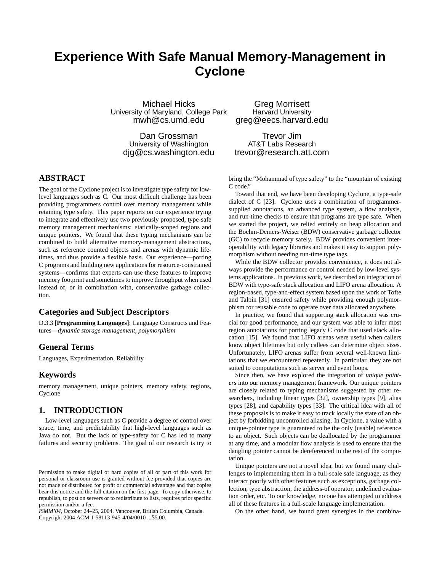# **Experience With Safe Manual Memory-Management in Cyclone**

Michael Hicks Greg Morrisett<br>
of Maryland, College Park Harvard University University of Maryland, College Park mwh@cs.umd.edu greg@eecs.harvard.edu

University of Washington

**ABSTRACT**

The goal of the Cyclone project is to investigate type safety for lowlevel languages such as C. Our most difficult challenge has been providing programmers control over memory management while retaining type safety. This paper reports on our experience trying to integrate and effectively use two previously proposed, type-safe memory management mechanisms: statically-scoped regions and unique pointers. We found that these typing mechanisms can be combined to build alternative memory-management abstractions, such as reference counted objects and arenas with dynamic lifetimes, and thus provide a flexible basis. Our experience—porting C programs and building new applications for resource-constrained systems—confirms that experts can use these features to improve memory footprint and sometimes to improve throughput when used instead of, or in combination with, conservative garbage collection.

# **Categories and Subject Descriptors**

D.3.3 [**Programming Languages**]: Language Constructs and Features—*dynamic storage management, polymorphism*

#### **General Terms**

Languages, Experimentation, Reliability

# **Keywords**

memory management, unique pointers, memory safety, regions, Cyclone

# **1. INTRODUCTION**

Low-level languages such as C provide a degree of control over space, time, and predictability that high-level languages such as Java do not. But the lack of type-safety for C has led to many failures and security problems. The goal of our research is try to

*ISMM'04,* October 24–25, 2004, Vancouver, British Columbia, Canada. Copyright 2004 ACM 1-58113-945-4/04/0010 ...\$5.00.

Dan Grossman Trevor Jim djg@cs.washington.edu trevor@research.att.com

> bring the "Mohammad of type safety" to the "mountain of existing C code."

> Toward that end, we have been developing Cyclone, a type-safe dialect of C [23]. Cyclone uses a combination of programmersupplied annotations, an advanced type system, a flow analysis, and run-time checks to ensure that programs are type safe. When we started the project, we relied entirely on heap allocation and the Boehm-Demers-Weiser (BDW) conservative garbage collector (GC) to recycle memory safely. BDW provides convenient interoperability with legacy libraries and makes it easy to support polymorphism without needing run-time type tags.

> While the BDW collector provides convenience, it does not always provide the performance or control needed by low-level systems applications. In previous work, we described an integration of BDW with type-safe stack allocation and LIFO arena allocation. A region-based, type-and-effect system based upon the work of Tofte and Talpin [31] ensured safety while providing enough polymorphism for reusable code to operate over data allocated anywhere.

> In practice, we found that supporting stack allocation was crucial for good performance, and our system was able to infer most region annotations for porting legacy C code that used stack allocation [15]. We found that LIFO arenas were useful when callers know object lifetimes but only callees can determine object sizes. Unfortunately, LIFO arenas suffer from several well-known limitations that we encountered repeatedly. In particular, they are not suited to computations such as server and event loops.

> Since then, we have explored the integration of *unique pointers* into our memory management framework. Our unique pointers are closely related to typing mechanisms suggested by other researchers, including linear types [32], ownership types [9], alias types [28], and capability types [33]. The critical idea with all of these proposals is to make it easy to track locally the state of an object by forbidding uncontrolled aliasing. In Cyclone, a value with a unique-pointer type is guaranteed to be the only (usable) reference to an object. Such objects can be deallocated by the programmer at any time, and a modular flow analysis is used to ensure that the dangling pointer cannot be dereferenced in the rest of the computation.

> Unique pointers are not a novel idea, but we found many challenges to implementing them in a full-scale safe language, as they interact poorly with other features such as exceptions, garbage collection, type abstraction, the address-of operator, undefined evaluation order, etc. To our knowledge, no one has attempted to address all of these features in a full-scale language implementation.

On the other hand, we found great synergies in the combina-

Permission to make digital or hard copies of all or part of this work for personal or classroom use is granted without fee provided that copies are not made or distributed for profit or commercial advantage and that copies bear this notice and the full citation on the first page. To copy otherwise, to republish, to post on servers or to redistribute to lists, requires prior specific permission and/or a fee.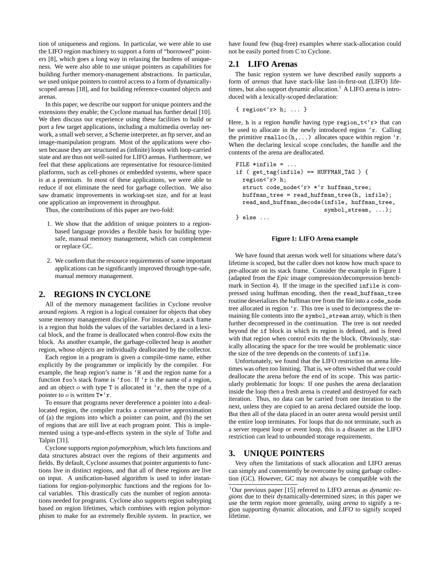tion of uniqueness and regions. In particular, we were able to use the LIFO region machinery to support a form of "borrowed" pointers [8], which goes a long way in relaxing the burdens of uniqueness. We were also able to use unique pointers as capabilities for building further memory-management abstractions. In particular, we used unique pointers to control access to a form of dynamicallyscoped arenas [18], and for building reference-counted objects and arenas.

In this paper, we describe our support for unique pointers and the extensions they enable; the Cyclone manual has further detail [10]. We then discuss our experience using these facilities to build or port a few target applications, including a multimedia overlay network, a small web server, a Scheme interpreter, an ftp server, and an image-manipulation program. Most of the applications were chosen because they are structured as (infinite) loops with loop-carried state and are thus not well-suited for LIFO arenas. Furthermore, we feel that these applications are representative for resource-limited platforms, such as cell-phones or embedded systems, where space is at a premium. In most of these applications, we were able to reduce if not eliminate the need for garbage collection. We also saw dramatic improvements in working-set size, and for at least one application an improvement in throughput.

Thus, the contributions of this paper are two-fold:

- 1. We show that the addition of unique pointers to a regionbased language provides a flexible basis for building typesafe, manual memory management, which can complement or replace GC.
- 2. We confirm that the resource requirements of some important applications can be significantly improved through type-safe, manual memory management.

# **2. REGIONS IN CYCLONE**

All of the memory management facilities in Cyclone revolve around *regions*. A region is a logical container for objects that obey some memory management discipline. For instance, a stack frame is a region that holds the values of the variables declared in a lexical block, and the frame is deallocated when control-flow exits the block. As another example, the garbage-collected heap is another region, whose objects are individually deallocated by the collector.

Each region in a program is given a compile-time name, either explicitly by the programmer or implicitly by the compiler. For example, the heap region's name is 'H and the region name for a function foo's stack frame is 'foo. If 'r is the name of a region, and an object  $o$  with type T is allocated in  $'r$ , then the type of a pointer to  $o$  is written  $T^*$ 'r.

To ensure that programs never dereference a pointer into a deallocated region, the compiler tracks a conservative approximation of (a) the regions into which a pointer can point, and (b) the set of regions that are still live at each program point. This is implemented using a type-and-effects system in the style of Tofte and Talpin [31].

Cyclone supports *region polymorphism*, which lets functions and data structures abstract over the regions of their arguments and fields. By default, Cyclone assumes that pointer arguments to functions live in distinct regions, and that all of these regions are live on input. A unification-based algorithm is used to infer instantiations for region-polymorphic functions and the regions for local variables. This drastically cuts the number of region annotations needed for programs. Cyclone also supports region subtyping based on region lifetimes, which combines with region polymorphism to make for an extremely flexible system. In practice, we have found few (bug-free) examples where stack-allocation could not be easily ported from C to Cyclone.

#### **2.1 LIFO Arenas**

The basic region system we have described easily supports a form of *arenas* that have stack-like last-in-first-out (LIFO) lifetimes, but also support dynamic allocation.<sup>1</sup> A LIFO arena is introduced with a lexically-scoped declaration:

{ region<'r> h; ... }

Here, h is a region *handle* having type region\_t<'r>>'r> that can be used to allocate in the newly introduced region 'r. Calling the primitive  $\text{rmalloc}(h, \ldots)$  allocates space within region ' $r$ . When the declaring lexical scope concludes, the handle and the contents of the arena are deallocated.

```
FILE *infile = ...
if ( get_tag(infile) == HUFFMAN_TAG ) {
 region<'r> h;
  struct code_node<'r> *'r huffman_tree;
 huffman_tree = read_huffman_tree(h, infile);
 read_and_huffman_decode(infile, huffman_tree,
                          symbol_stream, ...);
```

```
} else ...
```
#### **Figure 1: LIFO Arena example**

We have found that arenas work well for situations where data's lifetime is scoped, but the caller does not know how much space to pre-allocate on its stack frame. Consider the example in Figure 1 (adapted from the *Epic* image compression/decompression benchmark in Section 4). If the image in the specified infile is compressed using huffman encoding, then the read\_huffman\_tree routine deserializes the huffman tree from the file into a code\_node tree allocated in region 'r. This tree is used to decompress the remaining file contents into the symbol\_stream array, which is then further decompressed in the continuation. The tree is not needed beyond the if block in which its region is defined, and is freed with that region when control exits the the block. Obviously, statically allocating the space for the tree would be problematic since the size of the tree depends on the contents of infile.

Unfortunately, we found that the LIFO restriction on arena lifetimes was often too limiting. That is, we often wished that we could deallocate the arena before the end of its scope. This was particularly problematic for loops: If one pushes the arena declaration inside the loop then a fresh arena is created and destroyed for each iteration. Thus, no data can be carried from one iteration to the next, unless they are copied to an arena declared outside the loop. But then all of the data placed in an outer arena would persist until the entire loop terminates. For loops that do not terminate, such as a server request loop or event loop, this is a disaster as the LIFO restriction can lead to unbounded storage requirements.

## **3. UNIQUE POINTERS**

Very often the limitations of stack allocation and LIFO arenas can simply and conveniently be overcome by using garbage collection (GC). However, GC may not always be compatible with the

<sup>1</sup>Our previous paper [15] referred to LIFO arenas as *dynamic regions* due to their dynamically-determined sizes; in this paper we use the term *region* more generally, using *arena* to signify a region supporting dynamic allocation, and *LIFO* to signify scoped lifetime.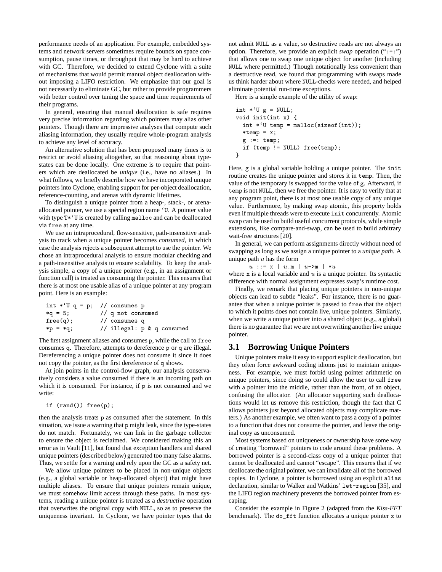performance needs of an application. For example, embedded systems and network servers sometimes require bounds on space consumption, pause times, or throughput that may be hard to achieve with GC. Therefore, we decided to extend Cyclone with a suite of mechanisms that would permit manual object deallocation without imposing a LIFO restriction. We emphasize that our goal is not necessarily to eliminate GC, but rather to provide programmers with better control over tuning the space and time requirements of their programs.

In general, ensuring that manual deallocation is safe requires very precise information regarding which pointers may alias other pointers. Though there are impressive analyses that compute such aliasing information, they usually require whole-program analysis to achieve any level of accuracy.

An alternative solution that has been proposed many times is to restrict or avoid aliasing altogether, so that reasoning about typestates can be done locally. One extreme is to require that pointers which are deallocated be *unique* (i.e., have no aliases.) In what follows, we briefly describe how we have incorporated unique pointers into Cyclone, enabling support for per-object deallocation, reference-counting, and arenas with dynamic lifetimes.

To distinguish a unique pointer from a heap-, stack-, or arenaallocated pointer, we use a special region name 'U. A pointer value with type T\*'U is created by calling malloc and can be deallocated via free at any time.

We use an intraprocedural, flow-sensitive, path-insensitive analysis to track when a unique pointer becomes *consumed*, in which case the analysis rejects a subsequent attempt to use the pointer. We chose an intraprocedural analysis to ensure modular checking and a path-insensitive analysis to ensure scalability. To keep the analysis simple, a copy of a unique pointer (e.g., in an assignment or function call) is treated as consuming the pointer. This ensures that there is at most one usable alias of a unique pointer at any program point. Here is an example:

| int $*^{\prime}U$ q = p; // consumes p |                              |
|----------------------------------------|------------------------------|
| $*q = 5$ ;                             | $//$ q not consumed          |
| free(q);                               | $//$ consumes q              |
| $*p = *q$ ;                            | // illegal: $p & q$ consumed |

The first assignment aliases and consumes p, while the call to free consumes q. Therefore, attempts to dereference p or q are illegal. Dereferencing a unique pointer does not consume it since it does not copy the pointer, as the first dereference of q shows.

At join points in the control-flow graph, our analysis conservatively considers a value consumed if there is an incoming path on which it is consumed. For instance, if p is not consumed and we write:

```
if (rand()) free(p);
```
then the analysis treats p as consumed after the statement. In this situation, we issue a warning that p might leak, since the type-states do not match. Fortunately, we can link in the garbage collector to ensure the object is reclaimed. We considered making this an error as in Vault [11], but found that exception handlers and shared unique pointers (described below) generated too many false alarms. Thus, we settle for a warning and rely upon the GC as a safety net.

We allow unique pointers to be placed in non-unique objects (e.g., a global variable or heap-allocated object) that might have multiple aliases. To ensure that unique pointers remain unique, we must somehow limit access through these paths. In most systems, reading a unique pointer is treated as a *destructive* operation that overwrites the original copy with NULL, so as to preserve the uniqueness invariant. In Cyclone, we have pointer types that do not admit NULL as a value, so destructive reads are not always an option. Therefore, we provide an explicit *swap* operation (":=:") that allows one to swap one unique object for another (including NULL where permitted.) Though notationally less convenient than a destructive read, we found that programming with swaps made us think harder about where NULL-checks were needed, and helped eliminate potential run-time exceptions.

Here is a simple example of the utility of swap:

```
int *'U g = NULL;void init(int x) {
  int *'U temp = malloc(sizeof(int));
  *temp = x;g :=: \text{temp};if (temp != NULL) free(temp);
}
```
Here, g is a global variable holding a unique pointer. The init routine creates the unique pointer and stores it in temp. Then, the value of the temporary is swapped for the value of g. Afterward, if temp is not NULL, then we free the pointer. It is easy to verify that at any program point, there is at most one usable copy of any unique value. Furthermore, by making swap atomic, this property holds even if multiple threads were to execute init concurrently. Atomic swap can be used to build useful concurrent protocols, while simple extensions, like compare-and-swap, can be used to build arbitrary wait-free structures [20].

In general, we can perform assignments directly without need of swapping as long as we assign a unique pointer to a *unique path*. A unique path  $u$  has the form

 $u \;::= \; \mathtt{x} \;\mid\; u \mathbin{{.}\mathsf{m}} \;\mid\; u \mathbin{{.}\mathsf{>m}} \;\mid\; * u$ 

where  $x$  is a local variable and  $u$  is a unique pointer. Its syntactic difference with normal assignment expresses swap's runtime cost.

Finally, we remark that placing unique pointers in non-unique objects can lead to subtle "leaks". For instance, there is no guarantee that when a unique pointer is passed to free that the object to which it points does not contain live, unique pointers. Similarly, when we write a unique pointer into a shared object (e.g., a global) there is no guarantee that we are not overwriting another live unique pointer.

## **3.1 Borrowing Unique Pointers**

Unique pointers make it easy to support explicit deallocation, but they often force awkward coding idioms just to maintain uniqueness. For example, we must forbid using pointer arithmetic on unique pointers, since doing so could allow the user to call free with a pointer into the middle, rather than the front, of an object, confusing the allocator. (An allocator supporting such deallocations would let us remove this restriction, though the fact that C allows pointers just beyond allocated objects may complicate matters.) As another example, we often want to pass a copy of a pointer to a function that does not consume the pointer, and leave the original copy as unconsumed.

Most systems based on uniqueness or ownership have some way of creating "borrowed" pointers to code around these problems. A borrowed pointer is a second-class copy of a unique pointer that cannot be deallocated and cannot "escape". This ensures that if we deallocate the original pointer, we can invalidate all of the borrowed copies. In Cyclone, a pointer is borrowed using an explicit alias declaration, similar to Walker and Watkins' let-region [35], and the LIFO region machinery prevents the borrowed pointer from escaping.

Consider the example in Figure 2 (adapted from the *Kiss-FFT* benchmark). The do\_fft function allocates a unique pointer x to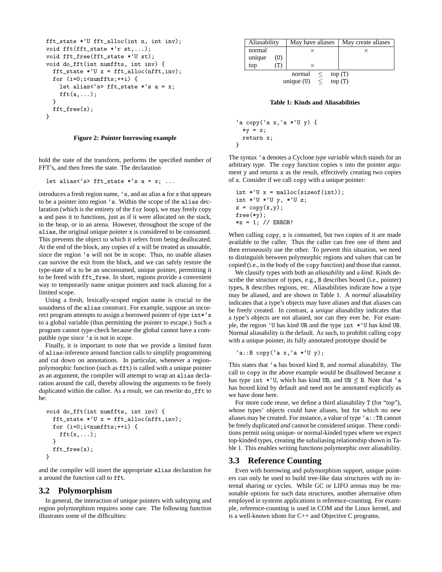```
fft_state *'U fft_alloc(int n, int inv);
void fft(fft_state *^r st,...);
void fft_free(fft_state *'U st);
void do_fft(int numffts, int inv) {
 fft\_state *'U x = fft\_alloc(nfft, inv);for (i=0;i<numffts;++i) {
    let alias<'s> fft_state *'s a = x;
    fft(a,...);}
 fft\_free(x);}
```
#### **Figure 2: Pointer borrowing example**

hold the state of the transform, performs the specified number of FFT's, and then frees the state. The declaration

#### let alias<'s> fft\_state  $*$ 's a = x; ...

introduces a fresh region name, 's, and an alias a for x that appears to be a pointer into region 's. Within the scope of the alias declaration (which is the entirety of the for loop), we may freely copy a and pass it to functions, just as if it were allocated on the stack, in the heap, or in an arena. However, throughout the scope of the alias, the original unique pointer x is considered to be consumed. This prevents the object to which it refers from being deallocated. At the end of the block, any copies of x will be treated as unusable, since the region 's will not be in scope. Thus, no usable aliases can survive the exit from the block, and we can safely restore the type-state of x to be an unconsumed, unique pointer, permitting it to be freed with fft\_free. In short, regions provide a convenient way to temporarily name unique pointers and track aliasing for a limited scope.

Using a fresh, lexically-scoped region name is crucial to the soundness of the alias construct. For example, suppose an incorrect program attempts to assign a borrowed pointer of type int\*'s to a global variable (thus permitting the pointer to escape.) Such a program cannot type-check because the global cannot have a compatible type since 's is not in scope.

Finally, it is important to note that we provide a limited form of alias-inference around function calls to simplify programming and cut down on annotations. In particular, whenever a regionpolymorphic function (such as fft) is called with a unique pointer as an argument, the compiler will attempt to wrap an alias declaration around the call, thereby allowing the arguments to be freely duplicated within the callee. As a result, we can rewrite do\_fft to be:

```
void do_fft(int numffts, int inv) {
  fft\_state *'U x = fft\_alloc(nfft, inv);for (i=0; i \leq numffts; ++i) {
    fft(x,...);}
  fft_free(x);
}
```
and the compiler will insert the appropriate alias declaration for x around the function call to fft.

## **3.2 Polymorphism**

In general, the interaction of unique pointers with subtyping and region polymorphism requires some care. The following function illustrates some of the difficulties:

| Aliasability         |                          | May have aliases |  |  | May create aliases |
|----------------------|--------------------------|------------------|--|--|--------------------|
| normal               |                          | $\times$         |  |  |                    |
| unique               | (U)                      |                  |  |  |                    |
| top                  |                          | ×                |  |  |                    |
| normal $\lt$ top (T) |                          |                  |  |  |                    |
|                      | unique (U) $\lt$ top (T) |                  |  |  |                    |

#### **Table 1: Kinds and Aliasabilities**

```
'a copy('a x,'a *'U y) {
 *y = x;return x;
}
```
The syntax 'a denotes a Cyclone *type variable* which stands for an arbitrary type. The copy function copies x into the pointer argument y and returns x as the result, effectively creating two copies of x. Consider if we call copy with a unique pointer:

```
int *^{\prime}U x = malloc(sizeof(int));
int *'U *'U y, *'U z;
z = \text{copy}(x, y);
free(*y);
*z = 1; // ERROR!
```
When calling copy, x is consumed, but two copies of it are made available to the caller. Thus the caller can free one of them and then erroneously use the other. To prevent this situation, we need to distinguish between polymorphic regions and values that can be copied (i.e., in the body of the copy function) and those that cannot.

We classify types with both an *aliasability* and a *kind*. Kinds describe the structure of types, e.g., B describes boxed (i.e., pointer) types, R describes regions, etc. Aliasabilities indicate how a type may be aliased, and are shown in Table 1. A *normal* aliasability indicates that a type's objects may have aliases and that aliases can be freely created. In contrast, a *unique* aliasability indicates that a type's objects are not aliased, nor can they ever be. For example, the region 'U has kind UR and the type int \*'U has kind UB. Normal aliasability is the default. As such, to prohibit calling copy with a unique pointer, its fully annotated prototype should be

'a:: B copy('a  $x$ , 'a  $*(U y)$ ;

This states that 'a has boxed kind B, and normal aliasability. The call to copy in the above example would be disallowed because x has type int \*'U, which has kind UB, and UB  $\leq$  B. Note that 'a has boxed kind by default and need not be annotated explicitly as we have done here.

For more code reuse, we define a third aliasability T (for "top"), whose types' objects could have aliases, but for which no new aliases may be created. For instance, a value of type 'a::TB cannot be freely duplicated *and* cannot be considered unique. These conditions permit using unique- or normal-kinded types where we expect top-kinded types, creating the subaliasing relationship shown in Table 1. This enables writing functions polymorphic over aliasability.

#### **3.3 Reference Counting**

Even with borrowing and polymorphism support, unique pointers can only be used to build tree-like data structures with no internal sharing or cycles. While GC or LIFO arenas may be reasonable options for such data structures, another alternative often employed in systems applications is reference-counting. For example, reference-counting is used in COM and the Linux kernel, and is a well-known idiom for C++ and Objective C programs.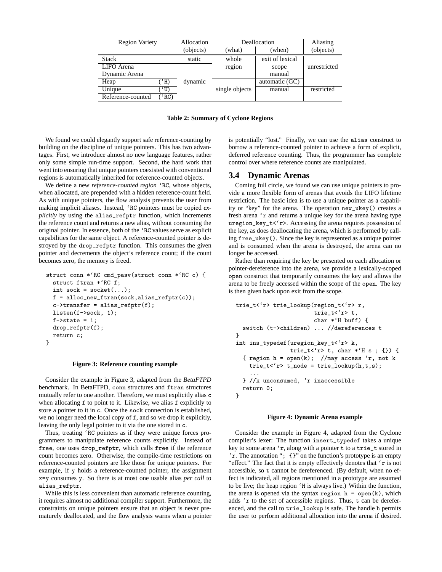| <b>Region Variety</b> |      | Allocation | Deallocation   | Aliasing        |              |
|-----------------------|------|------------|----------------|-----------------|--------------|
|                       |      | (objects)  | (what)         | (when)          | (objects)    |
| <b>Stack</b>          |      | static     | whole          | exit of lexical |              |
| LIFO Arena            |      |            | region         | scope           | unrestricted |
| Dynamic Arena         |      |            |                | manual          |              |
| Heap                  | (H)  | dynamic    |                | automatic (GC)  |              |
| Unique                | (U)  |            | single objects | manual          | restricted   |
| Reference-counted     | (RC) |            |                |                 |              |

**Table 2: Summary of Cyclone Regions**

We found we could elegantly support safe reference-counting by building on the discipline of unique pointers. This has two advantages. First, we introduce almost no new language features, rather only some simple run-time support. Second, the hard work that went into ensuring that unique pointers coexisted with conventional regions is automatically inherited for reference-counted objects.

We define a new *reference-counted region* 'RC, whose objects, when allocated, are prepended with a hidden reference-count field. As with unique pointers, the flow analysis prevents the user from making implicit aliases. Instead, 'RC pointers must be copied *explicitly* by using the alias\_refptr function, which increments the reference count and returns a new alias, without consuming the original pointer. In essence, both of the 'RC values serve as explicit capabilities for the same object. A reference-counted pointer is destroyed by the drop\_refptr function. This consumes the given pointer and decrements the object's reference count; if the count becomes zero, the memory is freed.

```
struct conn *'RC cmd_pasv(struct conn *'RC c) {
  struct ftran *'RC f;
  int sock = socket(...);f = \text{alloc\_new\_ftran}(\text{sock,alias\_refptr}(c));c->transfer = alias_refptr(f);
  listen(f->sock, 1);
  f->state = 1;
  drop_refptr(f);
  return c;
}
```
#### **Figure 3: Reference counting example**

Consider the example in Figure 3, adapted from the *BetaFTPD* benchmark. In BetaFTPD, conn structures and ftran structures mutually refer to one another. Therefore, we must explicitly alias c when allocating f to point to it. Likewise, we alias f explicitly to store a pointer to it in c. Once the sock connection is established, we no longer need the local copy of f, and so we drop it explicitly, leaving the only legal pointer to it via the one stored in c.

Thus, treating 'RC pointers as if they were unique forces programmers to manipulate reference counts explicitly. Instead of free, one uses drop\_refptr, which calls free if the reference count becomes zero. Otherwise, the compile-time restrictions on reference-counted pointers are like those for unique pointers. For example, if y holds a reference-counted pointer, the assignment x=y consumes y. So there is at most one usable alias *per call* to alias\_refptr.

While this is less convenient than automatic reference counting, it requires almost no additional compiler support. Furthermore, the constraints on unique pointers ensure that an object is never prematurely deallocated, and the flow analysis warns when a pointer is potentially "lost." Finally, we can use the alias construct to borrow a reference-counted pointer to achieve a form of explicit, deferred reference counting. Thus, the programmer has complete control over where reference counts are manipulated.

## **3.4 Dynamic Arenas**

Coming full circle, we found we can use unique pointers to provide a more flexible form of arenas that avoids the LIFO lifetime restriction. The basic idea is to use a unique pointer as a capability or "key" for the arena. The operation new\_ukey() creates a fresh arena 'r and returns a unique key for the arena having type uregion\_key\_t<'r>. Accessing the arena requires possession of the key, as does deallocating the arena, which is performed by calling free\_ukey(). Since the key is represented as a unique pointer and is consumed when the arena is destroyed, the arena can no longer be accessed.

Rather than requiring the key be presented on each allocation or pointer-dereference into the arena, we provide a lexically-scoped open construct that temporarily consumes the key and allows the arena to be freely accessed within the scope of the open. The key is then given back upon exit from the scope.

```
trie_t<'r> trie_lookup(region_t<'r> r,
                        trie_t<'r> t,
                        char *'H buff) {
  switch (t->children) ... //dereferences t
}
int ins_typedef(uregion_key_t<'r> k,
                trie_t<'r> t, char *'H s ; {}) {
  { region h = \text{open}(k); //may access 'r, not k
    trie_t < f' t_node = trie_lookup(h,t,s);
    ...
  } //k unconsumed, 'r inaccessible
  return 0;
}
```
#### **Figure 4: Dynamic Arena example**

Consider the example in Figure 4, adapted from the Cyclone compiler's lexer: The function insert\_typedef takes a unique key to some arena 'r, along with a pointer t to a trie\_t stored in 'r. The annotation "; {}" on the function's prototype is an empty "effect." The fact that it is empty effectively denotes that 'r is not accessible, so t cannot be dereferenced. (By default, when no effect is indicated, all regions mentioned in a prototype are assumed to be live; the heap region 'H is always live.) Within the function, the arena is opened via the syntax region  $h = \text{open}(k)$ , which adds 'r to the set of accessible regions. Thus, t can be dereferenced, and the call to trie\_lookup is safe. The handle h permits the user to perform additional allocation into the arena if desired.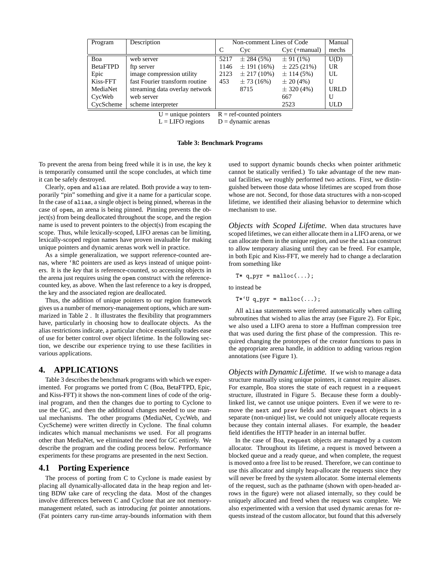| Program         | Description                    | Non-comment Lines of Code |                 |                 | Manual      |
|-----------------|--------------------------------|---------------------------|-----------------|-----------------|-------------|
|                 |                                | C                         | Cyc             | $Cyc$ (+manual) | mechs       |
| Boa             | web server                     | 5217                      | $\pm 284(5\%)$  | $\pm$ 91 (1%)   | U(D)        |
| <b>BetaFTPD</b> | ftp server                     | 1146                      | $\pm$ 191 (16%) | $\pm 225(21\%)$ | UR          |
| Epic            | image compression utility      | 2123                      | $\pm 217(10\%)$ | $\pm$ 114 (5%)  | UL          |
| Kiss-FFT        | fast Fourier transform routine | 453                       | $\pm 73(16\%)$  | $\pm 20(4\%)$   | U           |
| MediaNet        | streaming data overlay network |                           | 8715            | $\pm$ 320 (4%)  | <b>URLD</b> |
| CycWeb          | web server                     |                           |                 | 667             | U           |
| CycScheme       | scheme interpreter             |                           |                 | 2523            | <b>ULD</b>  |

 $U =$  unique pointers  $R =$  ref-counted pointers

 $L = LIFO$  regions  $D =$  dynamic arenas

#### **Table 3: Benchmark Programs**

To prevent the arena from being freed while it is in use, the key k is temporarily consumed until the scope concludes, at which time it can be safely destroyed.

Clearly, open and alias are related. Both provide a way to temporarily "pin" something and give it a name for a particular scope. In the case of alias, a single object is being pinned, whereas in the case of open, an arena is being pinned. Pinning prevents the object(s) from being deallocated throughout the scope, and the region name is used to prevent pointers to the object(s) from escaping the scope. Thus, while lexically-scoped, LIFO arenas can be limiting, lexically-scoped region names have proven invaluable for making unique pointers and dynamic arenas work well in practice.

As a simple generalization, we support reference-counted arenas, where 'RC pointers are used as keys instead of unique pointers. It is the *key* that is reference-counted, so accessing objects in the arena just requires using the open construct with the referencecounted key, as above. When the last reference to a key is dropped, the key and the associated region are deallocated.

Thus, the addition of unique pointers to our region framework gives us a number of memory-management options, which are summarized in Table 2 . It illustrates the flexibility that programmers have, particularly in choosing how to deallocate objects. As the alias restrictions indicate, a particular choice essentially trades ease of use for better control over object lifetime. In the following section, we describe our experience trying to use these facilities in various applications.

## **4. APPLICATIONS**

Table 3 describes the benchmark programs with which we experimented. For programs we ported from C (Boa, BetaFTPD, Epic, and Kiss-FFT) it shows the non-comment lines of code of the original program, and then the changes due to porting to Cyclone to use the GC, and then the additional changes needed to use manual mechanisms. The other programs (MediaNet, CycWeb, and CycScheme) were written directly in Cyclone. The final column indicates which manual mechanisms we used. For all programs other than MediaNet, we eliminated the need for GC entirely. We describe the program and the coding process below. Performance experiments for these programs are presented in the next Section.

#### **4.1 Porting Experience**

The process of porting from C to Cyclone is made easiest by placing all dynamically-allocated data in the heap region and letting BDW take care of recycling the data. Most of the changes involve differences between C and Cyclone that are not memorymanagement related, such as introducing *fat* pointer annotations. (Fat pointers carry run-time array-bounds information with them used to support dynamic bounds checks when pointer arithmetic cannot be statically verified.) To take advantage of the new manual facilities, we roughly performed two actions. First, we distinguished between those data whose lifetimes are scoped from those whose are not. Second, for those data structures with a non-scoped lifetime, we identified their aliasing behavior to determine which mechanism to use.

*Objects with Scoped Lifetime.* When data structures have scoped lifetimes, we can either allocate them in a LIFO arena, or we can allocate them in the unique region, and use the alias construct to allow temporary aliasing until they can be freed. For example, in both Epic and Kiss-FFT, we merely had to change a declaration from something like

$$
T* q_{pyr} = \text{malloc}(\dots);
$$

to instead be

 $T^*$ 'U q\_pyr = malloc $(\ldots)$ ;

All alias statements were inferred automatically when calling subroutines that wished to alias the array (see Figure 2). For Epic, we also used a LIFO arena to store a Huffman compression tree that was used during the first phase of the compression. This required changing the prototypes of the creator functions to pass in the appropriate arena handle, in addition to adding various region annotations (see Figure 1).

*Objects with Dynamic Lifetime.* If we wish to manage a data structure manually using unique pointers, it cannot require aliases. For example, Boa stores the state of each request in a request structure, illustrated in Figure 5. Because these form a doublylinked list, we cannot use unique pointers. Even if we were to remove the next and prev fields and store request objects in a separate (non-unique) list, we could not uniquely allocate requests because they contain internal aliases. For example, the header field identifies the HTTP header in an internal buffer.

In the case of Boa, request objects are managed by a custom allocator. Throughout its lifetime, a request is moved between a blocked queue and a ready queue, and when complete, the request is moved onto a free list to be reused. Therefore, we can continue to use this allocator and simply heap-allocate the requests since they will never be freed by the system allocator. Some internal elements of the request, such as the pathname (shown with open-headed arrows in the figure) were not aliased internally, so they could be uniquely allocated and freed when the request was complete. We also experimented with a version that used dynamic arenas for requests instead of the custom allocator, but found that this adversely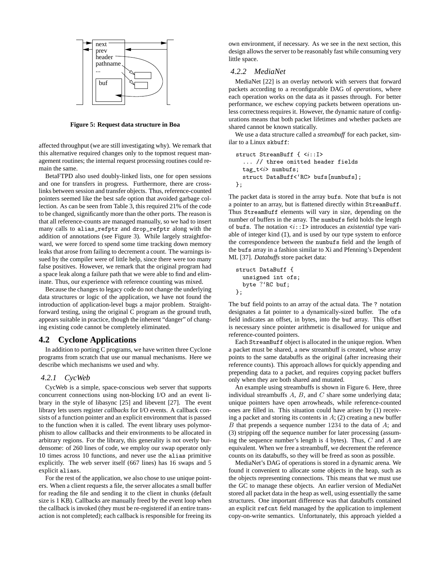

**Figure 5: Request data structure in Boa**

affected throughput (we are still investigating why). We remark that this alternative required changes only to the topmost request management routines; the internal request processing routines could remain the same.

BetaFTPD also used doubly-linked lists, one for open sessions and one for transfers in progress. Furthermore, there are crosslinks between session and transfer objects. Thus, reference-counted pointers seemed like the best safe option that avoided garbage collection. As can be seen from Table 3, this required 21% of the code to be changed, significantly more than the other ports. The reason is that all reference-counts are managed manually, so we had to insert many calls to alias\_refptr and drop\_refptr along with the addition of annotations (see Figure 3). While largely straightforward, we were forced to spend some time tracking down memory leaks that arose from failing to decrement a count. The warnings issued by the compiler were of little help, since there were too many false positives. However, we remark that the original program had a space leak along a failure path that we were able to find and eliminate. Thus, our experience with reference counting was mixed.

Because the changes to legacy code do not change the underlying data structures or logic of the application, we have not found the introduction of application-level bugs a major problem. Straightforward testing, using the original C program as the ground truth, appears suitable in practice, though the inherent "danger" of changing existing code cannot be completely eliminated.

### **4.2 Cyclone Applications**

In addition to porting C programs, we have written three Cyclone programs from scratch that use our manual mechanisms. Here we describe which mechanisms we used and why.

#### *4.2.1 CycWeb*

CycWeb is a simple, space-conscious web server that supports concurrent connections using non-blocking I/O and an event library in the style of libasync [25] and libevent [27]. The event library lets users register *callbacks* for I/O events. A callback consists of a function pointer and an explicit environment that is passed to the function when it is called. The event library uses polymorphism to allow callbacks and their environments to be allocated in arbitrary regions. For the library, this generality is not overly burdensome: of 260 lines of code, we employ our swap operator only 10 times across 10 functions, and never use the alias primitive explicitly. The web server itself (667 lines) has 16 swaps and 5 explicit aliass.

For the rest of the application, we also chose to use unique pointers. When a client requests a file, the server allocates a small buffer for reading the file and sending it to the client in chunks (default size is 1 KB). Callbacks are manually freed by the event loop when the callback is invoked (they must be re-registered if an entire transaction is not completed); each callback is responsible for freeing its own environment, if necessary. As we see in the next section, this design allows the server to be reasonably fast while consuming very little space.

#### *4.2.2 MediaNet*

MediaNet [22] is an overlay network with servers that forward packets according to a reconfigurable DAG of *operations*, where each operation works on the data as it passes through. For better performance, we eschew copying packets between operations unless correctness requires it. However, the dynamic nature of configurations means that both packet lifetimes and whether packets are shared cannot be known statically.

We use a data structure called a *streambuff* for each packet, similar to a Linux skbuff:

```
struct StreamBuff { \langle i::I>
  ... // three omitted header fields
  tag_t<i> numbufs;
  struct DataBuff<'RC> bufs[numbufs];
};
```
The packet data is stored in the array bufs. Note that bufs is not a pointer to an array, but is flattened directly within StreamBuff. Thus StreamBuff elements will vary in size, depending on the number of buffers in the array. The numbufs field holds the length of bufs. The notation  $\langle i: I \rangle$  introduces an *existential* type variable of integer kind (I), and is used by our type system to enforce the correspondence between the numbufs field and the length of the bufs array in a fashion similar to Xi and Pfenning's Dependent ML [37]. *Databuffs* store packet data:

```
struct DataBuff {
 unsigned int ofs;
  byte ?'RC buf;
};
```
The buf field points to an array of the actual data. The ? notation designates a fat pointer to a dynamically-sized buffer. The ofs field indicates an offset, in bytes, into the buf array. This offset is necessary since pointer arithmetic is disallowed for unique and reference-counted pointers.

Each StreamBuff object is allocated in the unique region. When a packet must be shared, a new streambuff is created, whose array points to the same databuffs as the original (after increasing their reference counts). This approach allows for quickly appending and prepending data to a packet, and requires copying packet buffers only when they are both shared and mutated.

An example using streambuffs is shown in Figure 6. Here, three individual streambuffs  $A$ ,  $B$ , and  $C$  share some underlying data; unique pointers have open arrowheads, while reference-counted ones are filled in. This situation could have arisen by (1) receiving a packet and storing its contents in  $A$ ; (2) creating a new buffer B that prepends a sequence number 1234 to the data of A; and (3) stripping off the sequence number for later processing (assuming the sequence number's length is 4 bytes). Thus,  $C$  and  $A$  are equivalent. When we free a streambuff, we decrement the reference counts on its databuffs, so they will be freed as soon as possible.

MediaNet's DAG of operations is stored in a dynamic arena. We found it convenient to allocate some objects in the heap, such as the objects representing connections. This means that we must use the GC to manage these objects. An earlier version of MediaNet stored all packet data in the heap as well, using essentially the same structures. One important difference was that databuffs contained an explicit refcnt field managed by the application to implement copy-on-write semantics. Unfortunately, this approach yielded a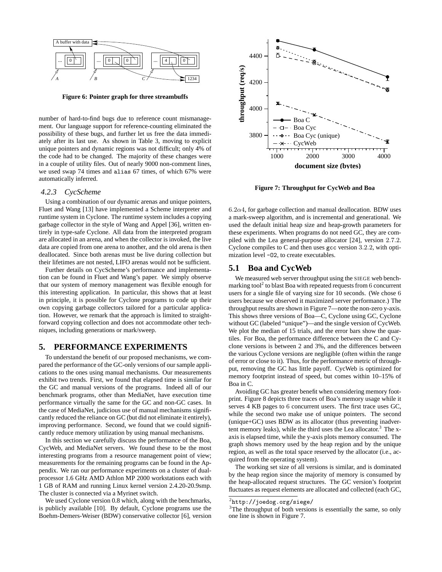

**Figure 6: Pointer graph for three streambuffs**

number of hard-to-find bugs due to reference count mismanagement. Our language support for reference-counting eliminated the possibility of these bugs, and further let us free the data immediately after its last use. As shown in Table 3, moving to explicit unique pointers and dynamic regions was not difficult; only 4% of the code had to be changed. The majority of these changes were in a couple of utility files. Out of nearly 9000 non-comment lines, we used swap 74 times and alias 67 times, of which 67% were automatically inferred.

#### *4.2.3 CycScheme*

Using a combination of our dynamic arenas and unique pointers, Fluet and Wang [13] have implemented a Scheme interpreter and runtime system in Cyclone. The runtime system includes a copying garbage collector in the style of Wang and Appel [36], written entirely in type-safe Cyclone. All data from the interpreted program are allocated in an arena, and when the collector is invoked, the live data are copied from one arena to another, and the old arena is then deallocated. Since both arenas must be live during collection but their lifetimes are not nested, LIFO arenas would not be sufficient.

Further details on CycScheme's performance and implementation can be found in Fluet and Wang's paper. We simply observe that our system of memory management was flexible enough for this interesting application. In particular, this shows that at least in principle, it is possible for Cyclone programs to code up their own copying garbage collectors tailored for a particular application. However, we remark that the approach is limited to straightforward copying collection and does not accommodate other techniques, including generations or mark/sweep.

#### **5. PERFORMANCE EXPERIMENTS**

To understand the benefit of our proposed mechanisms, we compared the performance of the GC-only versions of our sample applications to the ones using manual mechanisms. Our measurements exhibit two trends. First, we found that elapsed time is similar for the GC and manual versions of the programs. Indeed all of our benchmark programs, other than MediaNet, have execution time performance virtually the same for the GC and non-GC cases. In the case of MediaNet, judicious use of manual mechanisms significantly reduced the reliance on GC (but did not eliminate it entirely), improving performance. Second, we found that we could significantly reduce memory utilization by using manual mechanisms.

In this section we carefully discuss the performance of the Boa, CycWeb, and MediaNet servers. We found these to be the most interesting programs from a resource management point of view; measurements for the remaining programs can be found in the Appendix. We ran our performance experiments on a cluster of dualprocessor 1.6 GHz AMD Athlon MP 2000 workstations each with 1 GB of RAM and running Linux kernel version 2.4.20-20.9smp. The cluster is connected via a Myrinet switch.

We used Cyclone version 0.8 which, along with the benchmarks, is publicly available [10]. By default, Cyclone programs use the Boehm-Demers-Weiser (BDW) conservative collector [6], version



**Figure 7: Throughput for CycWeb and Boa**

 $6.2\alpha$ 4, for garbage collection and manual deallocation. BDW uses a mark-sweep algorithm, and is incremental and generational. We used the default initial heap size and heap-growth parameters for these experiments. When programs do not need GC, they are compiled with the Lea general-purpose allocator [24], version 2.7.2. Cyclone compiles to C and then uses gcc version 3.2.2, with optimization level -O2, to create executables.

#### **5.1 Boa and CycWeb**

We measured web server throughput using the SIEGE web benchmarking tool<sup>2</sup> to blast Boa with repeated requests from 6 concurrent users for a single file of varying size for 10 seconds. (We chose 6 users because we observed it maximized server performance.) The throughput results are shown in Figure 7—note the non-zero y-axis. This shows three versions of Boa—C, Cyclone using GC, Cyclone without GC (labeled "unique")—and the single version of CycWeb. We plot the median of 15 trials, and the error bars show the quartiles. For Boa, the performance difference between the C and Cyclone versions is between 2 and 3%, and the differences between the various Cyclone versions are negligible (often within the range of error or close to it). Thus, for the performance metric of throughput, removing the GC has little payoff. CycWeb is optimized for memory footprint instead of speed, but comes within 10–15% of Boa in C.

Avoiding GC has greater benefit when considering memory footprint. Figure 8 depicts three traces of Boa's memory usage while it serves 4 KB pages to 6 concurrent users. The first trace uses GC, while the second two make use of unique pointers. The second (unique+GC) uses BDW as its allocator (thus preventing inadvertent memory leaks), while the third uses the Lea allocator. $3$  The xaxis is elapsed time, while the y-axis plots memory consumed. The graph shows memory used by the heap region and by the unique region, as well as the total space reserved by the allocator (i.e., acquired from the operating system).

The working set size of all versions is similar, and is dominated by the heap region since the majority of memory is consumed by the heap-allocated request structures. The GC version's footprint fluctuates as request elements are allocated and collected (each GC,

 $^{2}$ http://joedog.org/siege/

<sup>&</sup>lt;sup>3</sup>The throughput of both versions is essentially the same, so only one line is shown in Figure 7.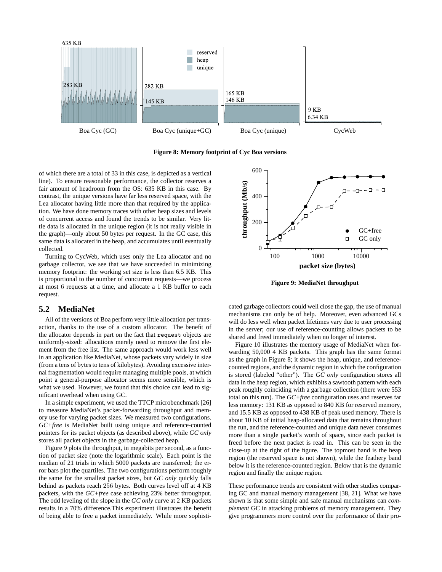

**Figure 8: Memory footprint of Cyc Boa versions**

of which there are a total of 33 in this case, is depicted as a vertical line). To ensure reasonable performance, the collector reserves a fair amount of headroom from the OS: 635 KB in this case. By contrast, the unique versions have far less reserved space, with the Lea allocator having little more than that required by the application. We have done memory traces with other heap sizes and levels of concurrent access and found the trends to be similar. Very little data is allocated in the unique region (it is not really visible in the graph)—only about 50 bytes per request. In the GC case, this same data is allocated in the heap, and accumulates until eventually collected.

Turning to CycWeb, which uses only the Lea allocator and no garbage collector, we see that we have succeeded in minimizing memory footprint: the working set size is less than 6.5 KB. This is proportional to the number of concurrent requests—we process at most 6 requests at a time, and allocate a 1 KB buffer to each request.

## **5.2 MediaNet**

All of the versions of Boa perform very little allocation per transaction, thanks to the use of a custom allocator. The benefit of the allocator depends in part on the fact that request objects are uniformly-sized: allocations merely need to remove the first element from the free list. The same approach would work less well in an application like MediaNet, whose packets vary widely in size (from a tens of bytes to tens of kilobytes). Avoiding excessive internal fragmentation would require managing multiple pools, at which point a general-purpose allocator seems more sensible, which is what we used. However, we found that this choice can lead to significant overhead when using GC.

In a simple experiment, we used the TTCP microbenchmark [26] to measure MediaNet's packet-forwarding throughput and memory use for varying packet sizes. We measured two configurations. *GC+free* is MediaNet built using unique and reference-counted pointers for its packet objects (as described above), while *GC only* stores all packet objects in the garbage-collected heap.

Figure 9 plots the throughput, in megabits per second, as a function of packet size (note the logarithmic scale). Each point is the median of 21 trials in which 5000 packets are transferred; the error bars plot the quartiles. The two configurations perform roughly the same for the smallest packet sizes, but *GC only* quickly falls behind as packets reach 256 bytes. Both curves level off at 4 KB packets, with the *GC+free* case achieving 23% better throughput. The odd leveling of the slope in the *GC only* curve at 2 KB packets results in a 70% difference.This experiment illustrates the benefit of being able to free a packet immediately. While more sophisti-



**Figure 9: MediaNet throughput**

cated garbage collectors could well close the gap, the use of manual mechanisms can only be of help. Moreover, even advanced GCs will do less well when packet lifetimes vary due to user processing in the server; our use of reference-counting allows packets to be shared and freed immediately when no longer of interest.

Figure 10 illustrates the memory usage of MediaNet when forwarding 50,000 4 KB packets. This graph has the same format as the graph in Figure 8; it shows the heap, unique, and referencecounted regions, and the dynamic region in which the configuration is stored (labeled "other"). The *GC only* configuration stores all data in the heap region, which exhibits a sawtooth pattern with each peak roughly coinciding with a garbage collection (there were 553 total on this run). The *GC+free* configuration uses and reserves far less memory: 131 KB as opposed to 840 KB for reserved memory, and 15.5 KB as opposed to 438 KB of peak used memory. There is about 10 KB of initial heap-allocated data that remains throughout the run, and the reference-counted and unique data never consumes more than a single packet's worth of space, since each packet is freed before the next packet is read in. This can be seen in the close-up at the right of the figure. The topmost band is the heap region (the reserved space is not shown), while the feathery band below it is the reference-counted region. Below that is the dynamic region and finally the unique region.

These performance trends are consistent with other studies comparing GC and manual memory management [38, 21]. What we have shown is that some simple and safe manual mechanisms can *complement* GC in attacking problems of memory management. They give programmers more control over the performance of their pro-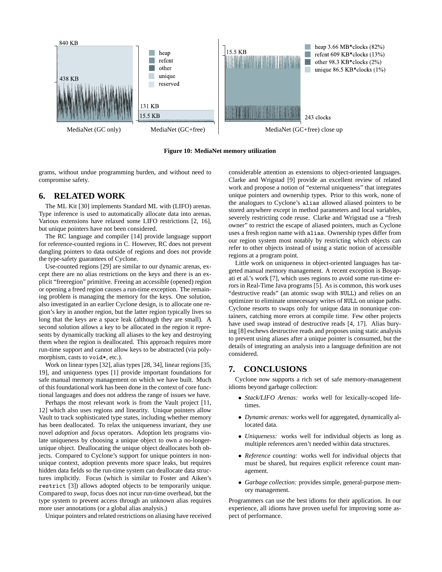

**Figure 10: MediaNet memory utilization**

grams, without undue programming burden, and without need to compromise safety.

# **6. RELATED WORK**

The ML Kit [30] implements Standard ML with (LIFO) arenas. Type inference is used to automatically allocate data into arenas. Various extensions have relaxed some LIFO restrictions [2, 16], but unique pointers have not been considered.

The RC language and compiler [14] provide language support for reference-counted regions in C. However, RC does not prevent dangling pointers to data outside of regions and does not provide the type-safety guarantees of Cyclone.

Use-counted regions [29] are similar to our dynamic arenas, except there are no alias restrictions on the keys and there is an explicit "freeregion" primitive. Freeing an accessible (opened) region or opening a freed region causes a run-time exception. The remaining problem is managing the memory for the keys. One solution, also investigated in an earlier Cyclone design, is to allocate one region's key in another region, but the latter region typically lives so long that the keys are a space leak (although they are small). A second solution allows a key to be allocated in the region it represents by dynamically tracking all aliases to the key and destroying them when the region is deallocated. This approach requires more run-time support and cannot allow keys to be abstracted (via polymorphism, casts to void\*, etc.).

Work on linear types [32], alias types [28, 34], linear regions [35, 19], and uniqueness types [1] provide important foundations for safe manual memory management on which we have built. Much of this foundational work has been done in the context of core functional languages and does not address the range of issues we have.

Perhaps the most relevant work is from the Vault project [11, 12] which also uses regions and linearity. Unique pointers allow Vault to track sophisticated type states, including whether memory has been deallocated. To relax the uniqueness invariant, they use novel *adoption* and *focus* operators. Adoption lets programs violate uniqueness by choosing a unique object to own a no-longerunique object. Deallocating the unique object deallocates both objects. Compared to Cyclone's support for unique pointers in nonunique context, adoption prevents more space leaks, but requires hidden data fields so the run-time system can deallocate data structures implicitly. Focus (which is similar to Foster and Aiken's restrict [3]) allows adopted objects to be temporarily unique. Compared to *swap*, focus does not incur run-time overhead, but the type system to prevent access through an unknown alias requires more user annotations (or a global alias analysis.)

Unique pointers and related restrictions on aliasing have received

considerable attention as extensions to object-oriented languages. Clarke and Wrigstad [9] provide an excellent review of related work and propose a notion of "external uniqueness" that integrates unique pointers and ownership types. Prior to this work, none of the analogues to Cyclone's alias allowed aliased pointers to be stored anywhere except in method parameters and local variables, severely restricting code reuse. Clarke and Wrigstad use a "fresh owner" to restrict the escape of aliased pointers, much as Cyclone uses a fresh region name with alias. Ownership types differ from our region system most notably by restricting which objects can refer to other objects instead of using a static notion of accessible regions at a program point.

Little work on uniqueness in object-oriented languages has targeted manual memory management. A recent exception is Boyapati et al.'s work [7], which uses regions to avoid some run-time errors in Real-Time Java programs [5]. As is common, this work uses "destructive reads" (an atomic swap with NULL) and relies on an optimizer to eliminate unnecessary writes of NULL on unique paths. Cyclone resorts to swaps only for unique data in nonunique containers, catching more errors at compile time. Few other projects have used swap instead of destructive reads [4, 17]. Alias burying [8] eschews destructive reads and proposes using static analysis to prevent using aliases after a unique pointer is consumed, but the details of integrating an analysis into a language definition are not considered.

# **7. CONCLUSIONS**

Cyclone now supports a rich set of safe memory-management idioms beyond garbage collection:

- *Stack/LIFO Arenas:* works well for lexically-scoped lifetimes.
- *Dynamic arenas:* works well for aggregated, dynamically allocated data.
- *Uniqueness:* works well for individual objects as long as multiple references aren't needed within data structures.
- *Reference counting:* works well for individual objects that must be shared, but requires explicit reference count management.
- *Garbage collection:* provides simple, general-purpose memory management.

Programmers can use the best idioms for their application. In our experience, all idioms have proven useful for improving some aspect of performance.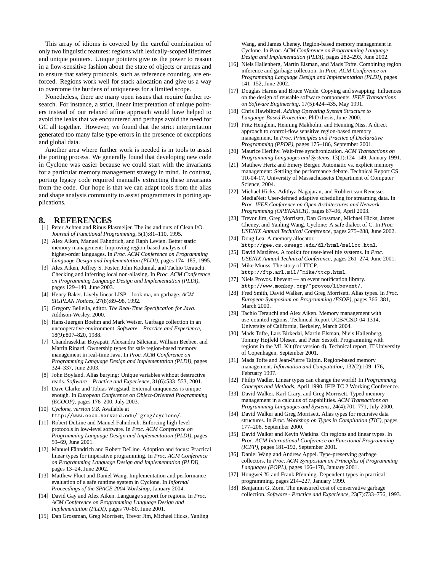This array of idioms is covered by the careful combination of only two linguistic features: regions with lexically-scoped lifetimes and unique pointers. Unique pointers give us the power to reason in a flow-sensitive fashion about the state of objects or arenas and to ensure that safety protocols, such as reference counting, are enforced. Regions work well for stack allocation and give us a way to overcome the burdens of uniqueness for a limited scope.

Nonetheless, there are many open issues that require further research. For instance, a strict, linear interpretation of unique pointers instead of our relaxed affine approach would have helped to avoid the leaks that we encountered and perhaps avoid the need for GC all together. However, we found that the strict interpretation generated too many false type-errors in the presence of exceptions and global data.

Another area where further work is needed is in tools to assist the porting process. We generally found that developing new code in Cyclone was easier because we could start with the invariants for a particular memory management strategy in mind. In contrast, porting legacy code required manually extracting these invariants from the code. Our hope is that we can adapt tools from the alias and shape analysis community to assist programmers in porting applications.

## **8. REFERENCES**

- [1] Peter Achten and Rinus Plasmeijer. The ins and outs of Clean I/O. *Journal of Functional Programming*, 5(1):81–110, 1995.
- [2] Alex Aiken, Manuel Fähndrich, and Raph Levien. Better static memory management: Improving region-based analysis of higher-order languages. In *Proc. ACM Conference on Programming Language Design and Implementation (PLDI)*, pages 174–185, 1995.
- [3] Alex Aiken, Jeffrey S. Foster, John Kodumal, and Tachio Terauchi. Checking and inferring local non-aliasing. In *Proc. ACM Conference on Programming Language Design and Implementation (PLDI)*, pages 129–140, June 2003.
- [4] Henry Baker. Lively linear LISP—look ma, no garbage. *ACM SIGPLAN Notices*, 27(8):89–98, 1992.
- [5] Gregory Bellella, editor. *The Real-Time Specification for Java*. Addison-Wesley, 2000.
- [6] Hans-Juergen Boehm and Mark Weiser. Garbage collection in an uncooperative environment. *Software – Practice and Experience*, 18(9):807–820, 1988.
- [7] Chandrasekhar Boyapati, Alexandru Sălcianu, William Beebee, and Martin Rinard. Ownership types for safe region-based memory management in real-time Java. In *Proc. ACM Conference on Programming Language Design and Implementation (PLDI)*, pages 324–337, June 2003.
- [8] John Boyland. Alias burying: Unique variables without destructive reads. *Software – Practice and Experience*, 31(6):533–553, 2001.
- [9] Dave Clarke and Tobias Wrigstad. External uniqueness is unique enough. In *European Conference on Object-Oriented Programming (ECOOP)*, pages 176–200, July 2003.
- [10] *Cyclone, version 0.8*. Available at http://www.eecs.harvard.edu/~greg/cyclone/.
- [11] Robert DeLine and Manuel Fähndrich. Enforcing high-level protocols in low-level software. In *Proc. ACM Conference on Programming Language Design and Implementation (PLDI)*, pages 59–69, June 2001.
- [12] Manuel Fähndrich and Robert DeLine. Adoption and focus: Practical linear types for imperative programming. In *Proc. ACM Conference on Programming Language Design and Implementation (PLDI)*, pages 13–24, June 2002.
- [13] Matthew Fluet and Daniel Wang. Implementation and performance evaluation of a safe runtime system in Cyclone. In *Informal Proceedings of the SPACE 2004 Workshop*, January 2004.
- [14] David Gay and Alex Aiken. Language support for regions. In *Proc. ACM Conference on Programming Language Design and Implementation (PLDI)*, pages 70–80, June 2001.
- [15] Dan Grossman, Greg Morrisett, Trevor Jim, Michael Hicks, Yanling

Wang, and James Cheney. Region-based memory management in Cyclone. In *Proc. ACM Conference on Programming Language Design and Implementation (PLDI)*, pages 282–293, June 2002.

- [16] Niels Hallenberg, Martin Elsman, and Mads Tofte. Combining region inference and garbage collection. In *Proc. ACM Conference on Programming Language Design and Implementation (PLDI)*, pages 141–152, June 2002.
- [17] Douglas Harms and Bruce Weide. Copying and swapping: Influences on the design of reusable software components. *IEEE Transactions on Software Engineering*, 17(5):424–435, May 1991.
- [18] Chris Hawblitzel. *Adding Operating System Structure to Language-Based Protection*. PhD thesis, June 2000.
- [19] Fritz Henglein, Henning Makholm, and Henning Niss. A direct approach to control-flow sensitive region-based memory management. In *Proc. Principles and Practice of Declarative Programming (PPDP)*, pages 175–186, September 2001.
- [20] Maurice Herlihy. Wait-free synchronization. *ACM Transactions on Programming Languages and Systems*, 13(1):124–149, January 1991.
- [21] Matthew Hertz and Emery Berger. Automatic vs. explicit memory management: Settling the performance debate. Technical Report CS TR-04-17, University of Massachussetts Department of Computer Science, 2004.
- [22] Michael Hicks, Adithya Nagajaran, and Robbert van Renesse. MediaNet: User-defined adaptive scheduling for streaming data. In *Proc. IEEE Conference on Open Architectures and Network Programming (OPENARCH)*, pages 87–96, April 2003.
- [23] Trevor Jim, Greg Morrisett, Dan Grossman, Michael Hicks, James Cheney, and Yanling Wang. Cyclone: A safe dialect of C. In *Proc. USENIX Annual Technical Conference*, pages 275–288, June 2002.
- [24] Doug Lea. A memory allocator. http://gee.cs.oswego.edu/dl/html/malloc.html.
- [25] David Mazières. A toolkit for user-level file systems. In Proc. *USENIX Annual Technical Conference*, pages 261–274, June 2001.
- [26] Mike Muuss. The story of TTCP. http://ftp.arl.mil/~mike/ttcp.html.
- [27] Niels Provos. libevent an event notification library. http://www.monkey.org/~provos/libevent/.
- [28] Fred Smith, David Walker, and Greg Morrisett. Alias types. In *Proc. European Symposium on Programming (ESOP)*, pages 366–381, March 2000.
- [29] Tachio Terauchi and Alex Aiken. Memory management with use-counted regions. Technical Report UCB//CSD-04-1314, University of California, Berkeley, March 2004.
- [30] Mads Tofte, Lars Birkedal, Martin Elsman, Niels Hallenberg, Tommy Højfeld Olesen, and Peter Sestoft. Programming with regions in the ML Kit (for version 4). Technical report, IT University of Copenhagen, September 2001.
- [31] Mads Tofte and Jean-Pierre Talpin. Region-based memory management. *Information and Computation*, 132(2):109–176, February 1997.
- [32] Philip Wadler. Linear types can change the world! In *Programming Concepts and Methods*, April 1990. IFIP TC 2 Working Conference.
- [33] David Walker, Karl Crary, and Greg Morrisett. Typed memory management in a calculus of capabilities. *ACM Transactions on Programming Languages and Systems*, 24(4):701–771, July 2000.
- [34] David Walker and Greg Morrisett. Alias types for recursive data structures. In *Proc. Workshop on Types in Compilation (TIC)*, pages 177–206, September 2000.
- [35] David Walker and Kevin Watkins. On regions and linear types. In *Proc. ACM International Conference on Functional Programming (ICFP)*, pages 181–192, September 2001.
- [36] Daniel Wang and Andrew Appel. Type-preserving garbage collectors. In *Proc. ACM Symposium on Principles of Programming Languages (POPL)*, pages 166–178, January 2001.
- [37] Hongwei Xi and Frank Pfenning. Dependent types in practical programming. pages 214–227, January 1999.
- [38] Benjamin G. Zorn. The measured cost of conservative garbage collection. *Software - Practice and Experience*, 23(7):733–756, 1993.